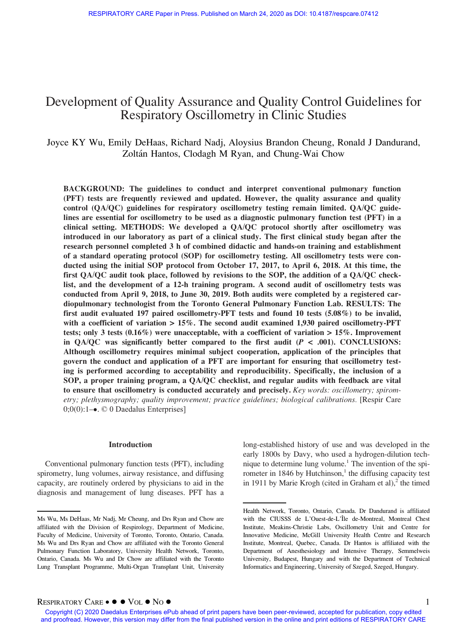# Development of Quality Assurance and Quality Control Guidelines for Respiratory Oscillometry in Clinic Studies

Joyce KY Wu, Emily DeHaas, Richard Nadj, Aloysius Brandon Cheung, Ronald J Dandurand, Zoltán Hantos, Clodagh M Ryan, and Chung-Wai Chow

BACKGROUND: The guidelines to conduct and interpret conventional pulmonary function (PFT) tests are frequently reviewed and updated. However, the quality assurance and quality control (QA/QC) guidelines for respiratory oscillometry testing remain limited. QA/QC guidelines are essential for oscillometry to be used as a diagnostic pulmonary function test (PFT) in a clinical setting. METHODS: We developed a QA/QC protocol shortly after oscillometry was introduced in our laboratory as part of a clinical study. The first clinical study began after the research personnel completed 3 h of combined didactic and hands-on training and establishment of a standard operating protocol (SOP) for oscillometry testing. All oscillometry tests were conducted using the initial SOP protocol from October 17, 2017, to April 6, 2018. At this time, the first QA/QC audit took place, followed by revisions to the SOP, the addition of a QA/QC checklist, and the development of a 12-h training program. A second audit of oscillometry tests was conducted from April 9, 2018, to June 30, 2019. Both audits were completed by a registered cardiopulmonary technologist from the Toronto General Pulmonary Function Lab. RESULTS: The first audit evaluated 197 paired oscillometry-PFT tests and found 10 tests (5.08%) to be invalid, with a coefficient of variation > 15%. The second audit examined 1,930 paired oscillometry-PFT tests; only 3 tests  $(0.16\%)$  were unacceptable, with a coefficient of variation > 15%. Improvement in  $QA/QC$  was significantly better compared to the first audit  $(P < .001)$ . CONCLUSIONS: Although oscillometry requires minimal subject cooperation, application of the principles that govern the conduct and application of a PFT are important for ensuring that oscillometry testing is performed according to acceptability and reproducibility. Specifically, the inclusion of a SOP, a proper training program, a QA/QC checklist, and regular audits with feedback are vital to ensure that oscillometry is conducted accurately and precisely. Key words: oscillometry; spirometry; plethysmography; quality improvement; practice guidelines; biological calibrations. [Respir Care  $0;0(0):1-\bullet. \oslash 0$  Daedalus Enterprises]

#### Introduction

Conventional pulmonary function tests (PFT), including spirometry, lung volumes, airway resistance, and diffusing capacity, are routinely ordered by physicians to aid in the diagnosis and management of lung diseases. PFT has a long-established history of use and was developed in the early 1800s by Davy, who used a hydrogen-dilution technique to determine lung volume.1 The invention of the spirometer in 1846 by Hutchinson, $<sup>1</sup>$  the diffusing capacity test</sup> in 1911 by Marie Krogh (cited in Graham et al),<sup>2</sup> the timed

RESPIRATORY  $\text{CARE} \bullet \textcolor{red}{\bullet} \textcolor{blue}{\bullet} \text{No} \textcolor{red}{\bullet}$ <br>Copyright (C) 2020 Daedalus Enterprises ePub ahead of print papers have been peer-reviewed, accepted for publication, copy edited and proofread. However, this version may differ from the final published version in the online and print editions of RESPIRATORY CARE

Ms Wu, Ms DeHaas, Mr Nadj, Mr Cheung, and Drs Ryan and Chow are affiliated with the Division of Respirology, Department of Medicine, Faculty of Medicine, University of Toronto, Toronto, Ontario, Canada. Ms Wu and Drs Ryan and Chow are affiliated with the Toronto General Pulmonary Function Laboratory, University Health Network, Toronto, Ontario, Canada. Ms Wu and Dr Chow are affiliated with the Toronto Lung Transplant Programme, Multi-Organ Transplant Unit, University

Health Network, Toronto, Ontario, Canada. Dr Dandurand is affiliated with the CIUSSS de L'Ouest-de-L'Île de-Montreal, Montreal Chest Institute, Meakins-Christie Labs, Oscillometry Unit and Centre for Innovative Medicine, McGill University Health Centre and Research Institute, Montreal, Quebec, Canada. Dr Hantos is affiliated with the Department of Anesthesiology and Intensive Therapy, Semmelweis University, Budapest, Hungary and with the Department of Technical Informatics and Engineering, University of Szeged, Szeged, Hungary.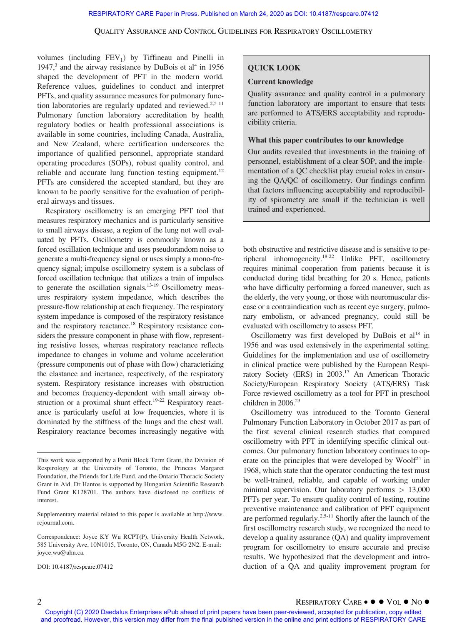volumes (including  $FEV_1$ ) by Tiffineau and Pinelli in 1947, $3$  and the airway resistance by DuBois et al<sup>4</sup> in 1956 shaped the development of PFT in the modern world. Reference values, guidelines to conduct and interpret PFTs, and quality assurance measures for pulmonary function laboratories are regularly updated and reviewed.<sup>2,5-11</sup> Pulmonary function laboratory accreditation by health regulatory bodies or health professional associations is available in some countries, including Canada, Australia, and New Zealand, where certification underscores the importance of qualified personnel, appropriate standard operating procedures (SOPs), robust quality control, and reliable and accurate lung function testing equipment.<sup>12</sup> PFTs are considered the accepted standard, but they are known to be poorly sensitive for the evaluation of peripheral airways and tissues.

Respiratory oscillometry is an emerging PFT tool that measures respiratory mechanics and is particularly sensitive to small airways disease, a region of the lung not well evaluated by PFTs. Oscillometry is commonly known as a forced oscillation technique and uses pseudorandom noise to generate a multi-frequency signal or uses simply a mono-frequency signal; impulse oscillometry system is a subclass of forced oscillation technique that utilizes a train of impulses to generate the oscillation signals.<sup>13-19</sup> Oscillometry measures respiratory system impedance, which describes the pressure-flow relationship at each frequency. The respiratory system impedance is composed of the respiratory resistance and the respiratory reactance.<sup>18</sup> Respiratory resistance considers the pressure component in phase with flow, representing resistive losses, whereas respiratory reactance reflects impedance to changes in volume and volume acceleration (pressure components out of phase with flow) characterizing the elastance and inertance, respectively, of the respiratory system. Respiratory resistance increases with obstruction and becomes frequency-dependent with small airway obstruction or a proximal shunt effect.<sup>19-22</sup> Respiratory reactance is particularly useful at low frequencies, where it is dominated by the stiffness of the lungs and the chest wall. Respiratory reactance becomes increasingly negative with

DOI: 10.4187/respcare.07412

# QUICK LOOK

# Current knowledge

Quality assurance and quality control in a pulmonary function laboratory are important to ensure that tests are performed to ATS/ERS acceptability and reproducibility criteria.

# What this paper contributes to our knowledge

Our audits revealed that investments in the training of personnel, establishment of a clear SOP, and the implementation of a QC checklist play crucial roles in ensuring the QA/QC of oscillometry. Our findings confirm that factors influencing acceptability and reproducibility of spirometry are small if the technician is well trained and experienced.

both obstructive and restrictive disease and is sensitive to peripheral inhomogeneity.18-22 Unlike PFT, oscillometry requires minimal cooperation from patients because it is conducted during tidal breathing for 20 s. Hence, patients who have difficulty performing a forced maneuver, such as the elderly, the very young, or those with neuromuscular disease or a contraindication such as recent eye surgery, pulmonary embolism, or advanced pregnancy, could still be evaluated with oscillometry to assess PFT.

Oscillometry was first developed by DuBois et  $al^{18}$  in 1956 and was used extensively in the experimental setting. Guidelines for the implementation and use of oscillometry in clinical practice were published by the European Respiratory Society (ERS) in 2003.<sup>17</sup> An American Thoracic Society/European Respiratory Society (ATS/ERS) Task Force reviewed oscillometry as a tool for PFT in preschool children in 2006.<sup>23</sup>

Oscillometry was introduced to the Toronto General Pulmonary Function Laboratory in October 2017 as part of the first several clinical research studies that compared oscillometry with PFT in identifying specific clinical outcomes. Our pulmonary function laboratory continues to operate on the principles that were developed by Woolf<sup>24</sup> in 1968, which state that the operator conducting the test must be well-trained, reliable, and capable of working under minimal supervision. Our laboratory performs  $> 13,000$ PFTs per year. To ensure quality control of testing, routine preventive maintenance and calibration of PFT equipment are performed regularly.<sup>2,5-11</sup> Shortly after the launch of the first oscillometry research study, we recognized the need to develop a quality assurance (QA) and quality improvement program for oscillometry to ensure accurate and precise results. We hypothesized that the development and introduction of a QA and quality improvement program for

This work was supported by a Pettit Block Term Grant, the Division of Respirology at the University of Toronto, the Princess Margaret Foundation, the Friends for Life Fund, and the Ontario Thoracic Society Grant in Aid. Dr Hantos is supported by Hungarian Scientific Research Fund Grant K128701. The authors have disclosed no conflicts of interest.

Supplementary material related to this paper is available at [http://www.](http://www.rcjournal.com) [rcjournal.com](http://www.rcjournal.com).

Correspondence: Joyce KY Wu RCPT(P), University Health Network, 585 University Ave, 10N1015, Toronto, ON, Canada M5G 2N2. E-mail: [joyce.wu@uhn.ca](mailto:joyce.wu@uhn.ca).

<sup>2</sup> RESPIRATORY CARE VOL NO Copyright (C) 2020 Daedalus Enterprises ePub ahead of print papers have been peer-reviewed, accepted for publication, copy edited and proofread. However, this version may differ from the final published version in the online and print editions of RESPIRATORY CARE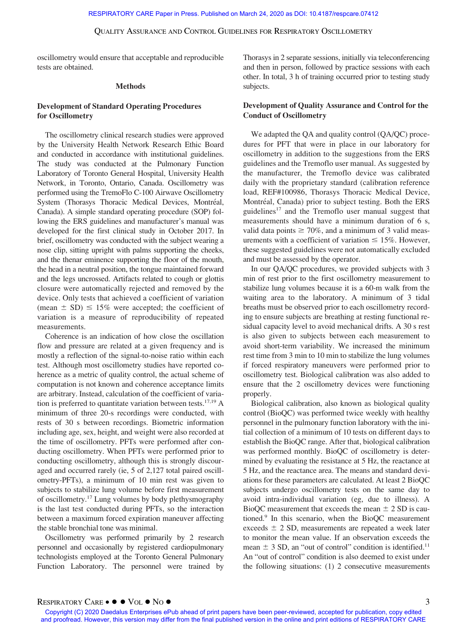oscillometry would ensure that acceptable and reproducible tests are obtained.

#### Methods

# Development of Standard Operating Procedures for Oscillometry

The oscillometry clinical research studies were approved by the University Health Network Research Ethic Board and conducted in accordance with institutional guidelines. The study was conducted at the Pulmonary Function Laboratory of Toronto General Hospital, University Health Network, in Toronto, Ontario, Canada. Oscillometry was performed using the TremoFlo C-100 Airwave Oscillometry System (Thorasys Thoracic Medical Devices, Montréal, Canada). A simple standard operating procedure (SOP) following the ERS guidelines and manufacturer's manual was developed for the first clinical study in October 2017. In brief, oscillometry was conducted with the subject wearing a nose clip, sitting upright with palms supporting the cheeks, and the thenar eminence supporting the floor of the mouth, the head in a neutral position, the tongue maintained forward and the legs uncrossed. Artifacts related to cough or glottis closure were automatically rejected and removed by the device. Only tests that achieved a coefficient of variation (mean  $\pm$  SD)  $\leq$  15% were accepted; the coefficient of variation is a measure of reproducibility of repeated measurements.

Coherence is an indication of how close the oscillation flow and pressure are related at a given frequency and is mostly a reflection of the signal-to-noise ratio within each test. Although most oscillometry studies have reported coherence as a metric of quality control, the actual scheme of computation is not known and coherence acceptance limits are arbitrary. Instead, calculation of the coefficient of variation is preferred to quantitate variation between tests.<sup>17,19</sup> A minimum of three 20-s recordings were conducted, with rests of 30 s between recordings. Biometric information including age, sex, height, and weight were also recorded at the time of oscillometry. PFTs were performed after conducting oscillometry. When PFTs were performed prior to conducting oscillometry, although this is strongly discouraged and occurred rarely (ie, 5 of 2,127 total paired oscillometry-PFTs), a minimum of 10 min rest was given to subjects to stabilize lung volume before first measurement of oscillometry.17 Lung volumes by body plethysmography is the last test conducted during PFTs, so the interaction between a maximum forced expiration maneuver affecting the stable bronchial tone was minimal.

Oscillometry was performed primarily by 2 research personnel and occasionally by registered cardiopulmonary technologists employed at the Toronto General Pulmonary Function Laboratory. The personnel were trained by Thorasys in 2 separate sessions, initially via teleconferencing and then in person, followed by practice sessions with each other. In total, 3 h of training occurred prior to testing study subjects.

# Development of Quality Assurance and Control for the Conduct of Oscillometry

We adapted the QA and quality control (QA/QC) procedures for PFT that were in place in our laboratory for oscillometry in addition to the suggestions from the ERS guidelines and the Tremoflo user manual. As suggested by the manufacturer, the Tremoflo device was calibrated daily with the proprietary standard (calibration reference load, REF#100986, Thorasys Thoracic Medical Device, Montréal, Canada) prior to subject testing. Both the ERS guidelines $17$  and the Tremoflo user manual suggest that measurements should have a minimum duration of 6 s, valid data points  $\geq 70\%$ , and a minimum of 3 valid measurements with a coefficient of variation  $\leq 15\%$ . However, these suggested guidelines were not automatically excluded and must be assessed by the operator.

In our QA/QC procedures, we provided subjects with 3 min of rest prior to the first oscillometry measurement to stabilize lung volumes because it is a 60-m walk from the waiting area to the laboratory. A minimum of 3 tidal breaths must be observed prior to each oscillometry recording to ensure subjects are breathing at resting functional residual capacity level to avoid mechanical drifts. A 30 s rest is also given to subjects between each measurement to avoid short-term variability. We increased the minimum rest time from 3 min to 10 min to stabilize the lung volumes if forced respiratory maneuvers were performed prior to oscillometry test. Biological calibration was also added to ensure that the 2 oscillometry devices were functioning properly.

Biological calibration, also known as biological quality control (BioQC) was performed twice weekly with healthy personnel in the pulmonary function laboratory with the initial collection of a minimum of 10 tests on different days to establish the BioQC range. After that, biological calibration was performed monthly. BioQC of oscillometry is determined by evaluating the resistance at 5 Hz, the reactance at 5 Hz, and the reactance area. The means and standard deviations for these parameters are calculated. At least 2 BioQC subjects undergo oscillometry tests on the same day to avoid intra-individual variation (eg, due to illness). A BioQC measurement that exceeds the mean  $\pm$  2 SD is cautioned.9 In this scenario, when the BioQC measurement exceeds  $\pm$  2 SD, measurements are repeated a week later to monitor the mean value. If an observation exceeds the mean  $\pm$  3 SD, an "out of control" condition is identified.<sup>11</sup> An "out of control" condition is also deemed to exist under the following situations: (1) 2 consecutive measurements

RESPIRATORY  $\text{CARE} \bullet \textcolor{red}{\bullet} \textcolor{blue}{\bullet} \text{No} \textcolor{red}{\bullet}$ <br>Copyright (C) 2020 Daedalus Enterprises ePub ahead of print papers have been peer-reviewed, accepted for publication, copy edited and proofread. However, this version may differ from the final published version in the online and print editions of RESPIRATORY CARE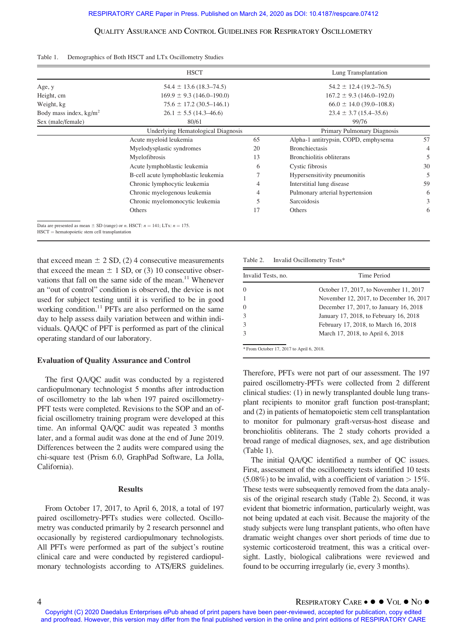|                          | <b>HSCT</b>                         |    | Lung Transplantation                 |    |
|--------------------------|-------------------------------------|----|--------------------------------------|----|
| Age, y                   | $54.4 \pm 13.6$ (18.3–74.5)         |    | $54.2 \pm 12.4$ (19.2–76.5)          |    |
| Height, cm               | $169.9 \pm 9.3$ (146.0-190.0)       |    | $167.2 \pm 9.3$ (146.0-192.0)        |    |
| Weight, kg               | $75.6 \pm 17.2$ (30.5–146.1)        |    | $66.0 \pm 14.0$ (39.0–108.8)         |    |
| Body mass index, $kg/m2$ | $26.1 \pm 5.5$ (14.3–46.6)          |    | $23.4 \pm 3.7$ (15.4–35.6)           |    |
| Sex (male/female)        | 80/61                               |    | 99/76                                |    |
|                          | Underlying Hematological Diagnosis  |    | Primary Pulmonary Diagnosis          |    |
|                          | Acute myeloid leukemia              | 65 | Alpha-1 antitrypsin, COPD, emphysema | 57 |
|                          | Myelodysplastic syndromes           | 20 | <b>Bronchiectasis</b>                | 4  |
|                          | Myelofibrosis                       | 13 | Bronchiolitis obliterans             |    |
|                          | Acute lymphoblastic leukemia        | 6  | Cystic fibrosis                      |    |
|                          | B-cell acute lymphoblastic leukemia |    | Hypersensitivity pneumonitis         |    |
|                          | Chronic lymphocytic leukemia        | 4  | Interstitial lung disease            | 59 |
|                          | Chronic myelogenous leukemia        | 4  | Pulmonary arterial hypertension      | 6  |
|                          | Chronic myelomonocytic leukemia     | 5  | Sarcoidosis                          | 3  |
|                          | Others                              | 17 | Others                               | 6  |

Table 1. Demographics of Both HSCT and LTx Oscillometry Studies

that exceed mean  $\pm$  2 SD, (2) 4 consecutive measurements that exceed the mean  $\pm$  1 SD, or (3) 10 consecutive observations that fall on the same side of the mean.<sup>11</sup> Whenever an "out of control" condition is observed, the device is not used for subject testing until it is verified to be in good working condition.<sup>11</sup> PFTs are also performed on the same day to help assess daily variation between and within individuals. QA/QC of PFT is performed as part of the clinical operating standard of our laboratory.

#### Evaluation of Quality Assurance and Control

The first QA/QC audit was conducted by a registered cardiopulmonary technologist 5 months after introduction of oscillometry to the lab when 197 paired oscillometry-PFT tests were completed. Revisions to the SOP and an official oscillometry training program were developed at this time. An informal QA/QC audit was repeated 3 months later, and a formal audit was done at the end of June 2019. Differences between the 2 audits were compared using the chi-square test (Prism 6.0, GraphPad Software, La Jolla, California).

## Results

From October 17, 2017, to April 6, 2018, a total of 197 paired oscillometry-PFTs studies were collected. Oscillometry was conducted primarily by 2 research personnel and occasionally by registered cardiopulmonary technologists. All PFTs were performed as part of the subject's routine clinical care and were conducted by registered cardiopulmonary technologists according to ATS/ERS guidelines. Table 2. Invalid Oscillometry Tests\*

| Invalid Tests, no. | Time Period                             |  |  |
|--------------------|-----------------------------------------|--|--|
| $\Omega$           | October 17, 2017, to November 11, 2017  |  |  |
|                    | November 12, 2017, to December 16, 2017 |  |  |
| $\theta$           | December 17, 2017, to January 16, 2018  |  |  |
| 3                  | January 17, 2018, to February 16, 2018  |  |  |
| 3                  | February 17, 2018, to March 16, 2018    |  |  |
| $\mathcal{R}$      | March 17, 2018, to April 6, 2018        |  |  |

 $*$  From October 17, 2017 to April 6, 2018.

Therefore, PFTs were not part of our assessment. The 197 paired oscillometry-PFTs were collected from 2 different clinical studies: (1) in newly transplanted double lung transplant recipients to monitor graft function post-transplant; and (2) in patients of hematopoietic stem cell transplantation to monitor for pulmonary graft-versus-host disease and bronchiolitis obliterans. The 2 study cohorts provided a broad range of medical diagnoses, sex, and age distribution (Table 1).

The initial QA/QC identified a number of QC issues. First, assessment of the oscillometry tests identified 10 tests  $(5.08\%)$  to be invalid, with a coefficient of variation  $> 15\%$ . These tests were subsequently removed from the data analysis of the original research study (Table 2). Second, it was evident that biometric information, particularly weight, was not being updated at each visit. Because the majority of the study subjects were lung transplant patients, who often have dramatic weight changes over short periods of time due to systemic corticosteroid treatment, this was a critical oversight. Lastly, biological calibrations were reviewed and found to be occurring irregularly (ie, every 3 months).

<sup>4</sup> RESPIRATORY CARE ● ● VOL ● NO ●<br>Copyright (C) 2020 Daedalus Enterprises ePub ahead of print papers have been peer-reviewed, accepted for publication, copy edited and proofread. However, this version may differ from the final published version in the online and print editions of RESPIRATORY CARE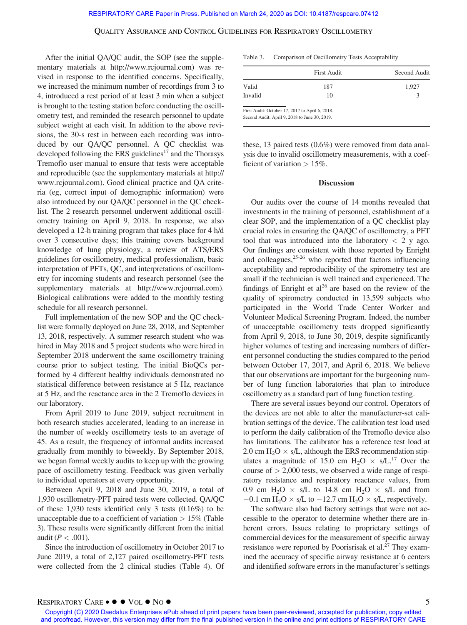After the initial QA/QC audit, the SOP (see the supplementary materials at<http://www.rcjournal.com>) was revised in response to the identified concerns. Specifically, we increased the minimum number of recordings from 3 to 4, introduced a rest period of at least 3 min when a subject is brought to the testing station before conducting the oscillometry test, and reminded the research personnel to update subject weight at each visit. In addition to the above revisions, the 30-s rest in between each recording was introduced by our QA/QC personnel. A QC checklist was developed following the ERS guidelines<sup>17</sup> and the Thorasys Tremoflo user manual to ensure that tests were acceptable and reproducible (see the supplementary materials at [http://](http://www.rcjournal.com) [www.rcjournal.com](http://www.rcjournal.com)). Good clinical practice and QA criteria (eg, correct input of demographic information) were also introduced by our QA/QC personnel in the QC checklist. The 2 research personnel underwent additional oscillometry training on April 9, 2018. In response, we also developed a 12-h training program that takes place for 4 h/d over 3 consecutive days; this training covers background knowledge of lung physiology, a review of ATS/ERS guidelines for oscillometry, medical professionalism, basic interpretation of PFTs, QC, and interpretations of oscillometry for incoming students and research personnel (see the supplementary materials at [http://www.rcjournal.com\)](http://www.rcjournal.com). Biological calibrations were added to the monthly testing schedule for all research personnel.

Full implementation of the new SOP and the QC checklist were formally deployed on June 28, 2018, and September 13, 2018, respectively. A summer research student who was hired in May 2018 and 5 project students who were hired in September 2018 underwent the same oscillometry training course prior to subject testing. The initial BioQCs performed by 4 different healthy individuals demonstrated no statistical difference between resistance at 5 Hz, reactance at 5 Hz, and the reactance area in the 2 Tremoflo devices in our laboratory.

From April 2019 to June 2019, subject recruitment in both research studies accelerated, leading to an increase in the number of weekly oscillometry tests to an average of 45. As a result, the frequency of informal audits increased gradually from monthly to biweekly. By September 2018, we began formal weekly audits to keep up with the growing pace of oscillometry testing. Feedback was given verbally to individual operators at every opportunity.

Between April 9, 2018 and June 30, 2019, a total of 1,930 oscillometry-PFT paired tests were collected. QA/QC of these 1,930 tests identified only 3 tests (0.16%) to be unacceptable due to a coefficient of variation  $> 15\%$  (Table 3). These results were significantly different from the initial audit ( $P < .001$ ).

Since the introduction of oscillometry in October 2017 to June 2019, a total of 2,127 paired oscillometry-PFT tests were collected from the 2 clinical studies (Table 4). Of

| Table 3. |  |  | Comparison of Oscillometry Tests Acceptability |  |
|----------|--|--|------------------------------------------------|--|
|----------|--|--|------------------------------------------------|--|

|               | <b>First Audit</b>                                                                               | Second Audit |
|---------------|--------------------------------------------------------------------------------------------------|--------------|
| Valid         | 187                                                                                              | 1,927        |
| Invalid<br>10 |                                                                                                  | 3            |
|               | First Audit: October 17, 2017 to April 6, 2018.<br>Second Audit: April 9, 2018 to June 30, 2019. |              |

these, 13 paired tests (0.6%) were removed from data analysis due to invalid oscillometry measurements, with a coefficient of variation  $> 15\%$ .

#### **Discussion**

Our audits over the course of 14 months revealed that investments in the training of personnel, establishment of a clear SOP, and the implementation of a QC checklist play crucial roles in ensuring the QA/QC of oscillometry, a PFT tool that was introduced into the laboratory  $\langle 2 \rangle$  y ago. Our findings are consistent with those reported by Enright and colleagues, $25-26$  who reported that factors influencing acceptability and reproducibility of the spirometry test are small if the technician is well trained and experienced. The findings of Enright et  $al^{26}$  are based on the review of the quality of spirometry conducted in 13,599 subjects who participated in the World Trade Center Worker and Volunteer Medical Screening Program. Indeed, the number of unacceptable oscillometry tests dropped significantly from April 9, 2018, to June 30, 2019, despite significantly higher volumes of testing and increasing numbers of different personnel conducting the studies compared to the period between October 17, 2017, and April 6, 2018. We believe that our observations are important for the burgeoning number of lung function laboratories that plan to introduce oscillometry as a standard part of lung function testing.

There are several issues beyond our control. Operators of the devices are not able to alter the manufacturer-set calibration settings of the device. The calibration test load used to perform the daily calibration of the Tremoflo device also has limitations. The calibrator has a reference test load at 2.0 cm  $H_2O \times s/L$ , although the ERS recommendation stipulates a magnitude of 15.0 cm  $H_2O \times s/L^{17}$  Over the course of  $> 2,000$  tests, we observed a wide range of respiratory resistance and respiratory reactance values, from 0.9 cm H<sub>2</sub>O  $\times$  s/L to 14.8 cm H<sub>2</sub>O  $\times$  s/L and from  $-0.1$  cm H<sub>2</sub>O  $\times$  s/L to  $-12.7$  cm H<sub>2</sub>O  $\times$  s/L, respectively.

The software also had factory settings that were not accessible to the operator to determine whether there are inherent errors. Issues relating to proprietary settings of commercial devices for the measurement of specific airway resistance were reported by Poorisrisak et al.<sup>27</sup> They examined the accuracy of specific airway resistance at 6 centers and identified software errors in the manufacturer's settings

RESPIRATORY  $\text{CARE} \bullet \textcolor{red}{\bullet} \textcolor{blue}{\bullet} \text{No} \textcolor{red}{\bullet}$ <br>Copyright (C) 2020 Daedalus Enterprises ePub ahead of print papers have been peer-reviewed, accepted for publication, copy edited and proofread. However, this version may differ from the final published version in the online and print editions of RESPIRATORY CARE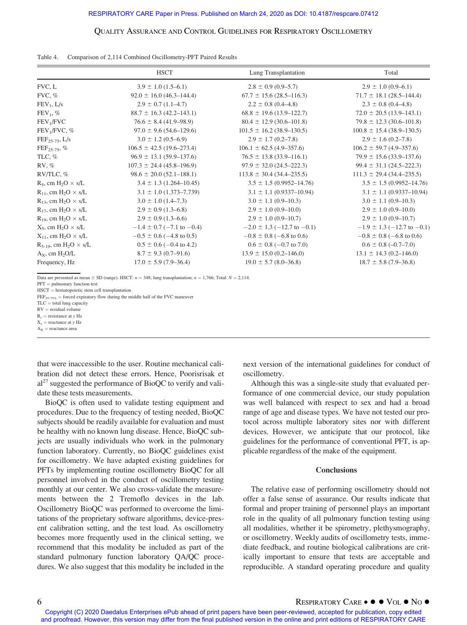|                                             | <b>HSCT</b>                     | Lung Transplantation              | Total                           |
|---------------------------------------------|---------------------------------|-----------------------------------|---------------------------------|
| FVC, L                                      | $3.9 \pm 1.0$ (1.5–6.1)         | $2.8 \pm 0.9$ (0.9–5.7)           | $2.9 \pm 1.0$ (0.9–6.1)         |
| FVC, %                                      | $92.0 \pm 16.0$ (46.3–144.4)    | $67.7 \pm 15.6$ (28.5–116.3)      | $71.7 \pm 18.1 (28.5 - 144.4)$  |
| $FEV_1, L/s$                                | $2.9 \pm 0.7$ (1.1–4.7)         | $2.2 \pm 0.8$ (0.4–4.8)           | $2.3 \pm 0.8$ (0.4–4.8)         |
| $FEV_1$ , %                                 | $88.7 \pm 16.3$ (42.2–143.1)    | $68.8 \pm 19.6$ (13.9–122.7)      | $72.0 \pm 20.5$ (13.9–143.1)    |
| FEV <sub>1</sub> /FVC                       | $76.6 \pm 8.4 (41.9 - 98.9)$    | $80.4 \pm 12.9$ (30.6–101.8)      | $79.8 \pm 12.3$ (30.6-101.8)    |
| FEV <sub>1</sub> /FVC, %                    | $97.0 \pm 9.6$ (54.6-129.6)     | $101.5 \pm 16.2$ (38.9–130.5)     | $100.8 \pm 15.4$ (38.9–130.5)   |
| $FEF_{25-75}$ , L/s                         | $3.0 \pm 1.2$ (0.5–6.9)         | $2.9 \pm 1.7$ (0.2–7.8)           | $2.9 \pm 1.6$ (0.2–7.8)         |
| $FEF_{25-75}$ , %                           | $106.5 \pm 42.5(19.6 - 273.4)$  | $106.1 \pm 62.5 (4.9 - 357.6)$    | $106.2 \pm 59.7 (4.9 - 357.6)$  |
| TLC, %                                      | $96.9 \pm 13.1 (59.9 - 137.6)$  | $76.5 \pm 13.8$ (33.9–116.1)      | $79.9 \pm 15.6 (33.9 - 137.6)$  |
| RV, %                                       | $107.3 \pm 24.4 (45.8 - 196.9)$ | $97.9 \pm 32.0$ (24.5–222.3)      | $99.4 \pm 31.1 (24.5 - 222.3)$  |
| RV/TLC, %                                   | $98.6 \pm 20.0 (52.1 - 188.1)$  | $113.8 \pm 30.4 \ (34.4 - 235.5)$ | $111.3 \pm 29.4 (34.4 - 235.5)$ |
| $R_5$ , cm $H_2O \times s/L$                | $3.4 \pm 1.3$ (1.264-10.45)     | $3.5 \pm 1.5 (0.9952 - 14.76)$    | $3.5 \pm 1.5 (0.9952 - 14.76)$  |
| $R_{11}$ , cm H <sub>2</sub> O $\times$ s/L | $3.1 \pm 1.0$ (1.373-7.739)     | $3.1 \pm 1.1$ (0.9337-10.94)      | $3.1 \pm 1.1$ (0.9337-10.94)    |
| $R_{13}$ , cm $H_2O \times s/L$             | $3.0 \pm 1.0$ (1.4–7.3)         | $3.0 \pm 1.1$ (0.9–10.3)          | $3.0 \pm 1.1$ (0.9–10.3)        |
| $R_{17}$ , cm $H_2O \times s/L$             | $2.9 \pm 0.9$ (1.3–6.8)         | $2.9 \pm 1.0$ (0.9–10.0)          | $2.9 \pm 1.0$ (0.9–10.0)        |
| $R_{19}$ , cm $H_2O \times s/L$             | $2.9 \pm 0.9$ (1.3–6.6)         | $2.9 \pm 1.0$ (0.9–10.7)          | $2.9 \pm 1.0$ (0.9–10.7)        |
| $X_5$ , cm $H_2O \times s/L$                | $-1.4 \pm 0.7$ (-7.1 to -0.4)   | $-2.0 \pm 1.3$ (-12.7 to -0.1)    | $-1.9 \pm 1.3$ (-12.7 to -0.1)  |
| $X_{11}$ , cm H <sub>2</sub> O $\times$ s/L | $-0.5 \pm 0.6$ (-4.8 to 0.5)    | $-0.8 \pm 0.8$ (-6.8 to 0.6)      | $-0.8 \pm 0.8$ (-6.8 to 0.6)    |
| $R_{5-19}$ , cm $H_2O \times s/L$           | $0.5 \pm 0.6$ (-0.4 to 4.2)     | $0.6 \pm 0.8$ (-0.7 to 7.0)       | $0.6 \pm 0.8$ (-0.7-7.0)        |
| $A_x$ , cm $H_2O/L$                         | $8.7 \pm 9.3$ (0.7–91.6)        | $13.9 \pm 15.0$ (0.2–146.0)       | $13.1 \pm 14.3$ (0.2–146.0)     |
| Frequency, Hz                               | $17.0 \pm 5.9$ (7.9–36.4)       | $19.0 \pm 5.7$ (8.0–36.8)         | $18.7 \pm 5.8$ (7.9–36.8)       |

|  | Table 4. |  | Comparison of 2,114 Combined Oscillometry-PFT Paired Results |  |
|--|----------|--|--------------------------------------------------------------|--|
|--|----------|--|--------------------------------------------------------------|--|

Data are presented as mean  $\pm$  SD (range). HSCT:  $n = 348$ ; lung transplantation;  $n = 1,766$ ; Total:  $N = 2,114$ .

 $PFT =$  pulmonary function test

 $HSCT =$  hematopoietic stem cell transplantation

 $\text{FEF}_{25\text{-}75\%}$  = forced expiratory flow during the middle half of the FVC maneuver

 $TLC =$  total lung capacity

 $RV =$  residual volume

 $R_y$  = resistance at y Hz

 $X<sub>v</sub>$  = reactance at y Hz

 $A_X$  = reactance area

that were inaccessible to the user. Routine mechanical calibration did not detect these errors. Hence, Poorisrisak et  $al<sup>27</sup>$  suggested the performance of BioQC to verify and validate these tests measurements.

BioQC is often used to validate testing equipment and procedures. Due to the frequency of testing needed, BioQC subjects should be readily available for evaluation and must be healthy with no known lung disease. Hence, BioQC subjects are usually individuals who work in the pulmonary function laboratory. Currently, no BioQC guidelines exist for oscillometry. We have adapted existing guidelines for PFTs by implementing routine oscillometry BioQC for all personnel involved in the conduct of oscillometry testing monthly at our center. We also cross-validate the measurements between the 2 Tremoflo devices in the lab. Oscillometry BioQC was performed to overcome the limitations of the proprietary software algorithms, device-present calibration setting, and the test load. As oscillometry becomes more frequently used in the clinical setting, we recommend that this modality be included as part of the standard pulmonary function laboratory QA/QC procedures. We also suggest that this modality be included in the

next version of the international guidelines for conduct of oscillometry.

Although this was a single-site study that evaluated performance of one commercial device, our study population was well balanced with respect to sex and had a broad range of age and disease types. We have not tested our protocol across multiple laboratory sites nor with different devices. However, we anticipate that our protocol, like guidelines for the performance of conventional PFT, is applicable regardless of the make of the equipment.

#### **Conclusions**

The relative ease of performing oscillometry should not offer a false sense of assurance. Our results indicate that formal and proper training of personnel plays an important role in the quality of all pulmonary function testing using all modalities, whether it be spirometry, plethysmography, or oscillometry. Weekly audits of oscillometry tests, immediate feedback, and routine biological calibrations are critically important to ensure that tests are acceptable and reproducible. A standard operating procedure and quality

6 RESPIRATORY CARE ● ● VOL ● NO ●<br>Copyright (C) 2020 Daedalus Enterprises ePub ahead of print papers have been peer-reviewed, accepted for publication, copy edited and proofread. However, this version may differ from the final published version in the online and print editions of RESPIRATORY CARE